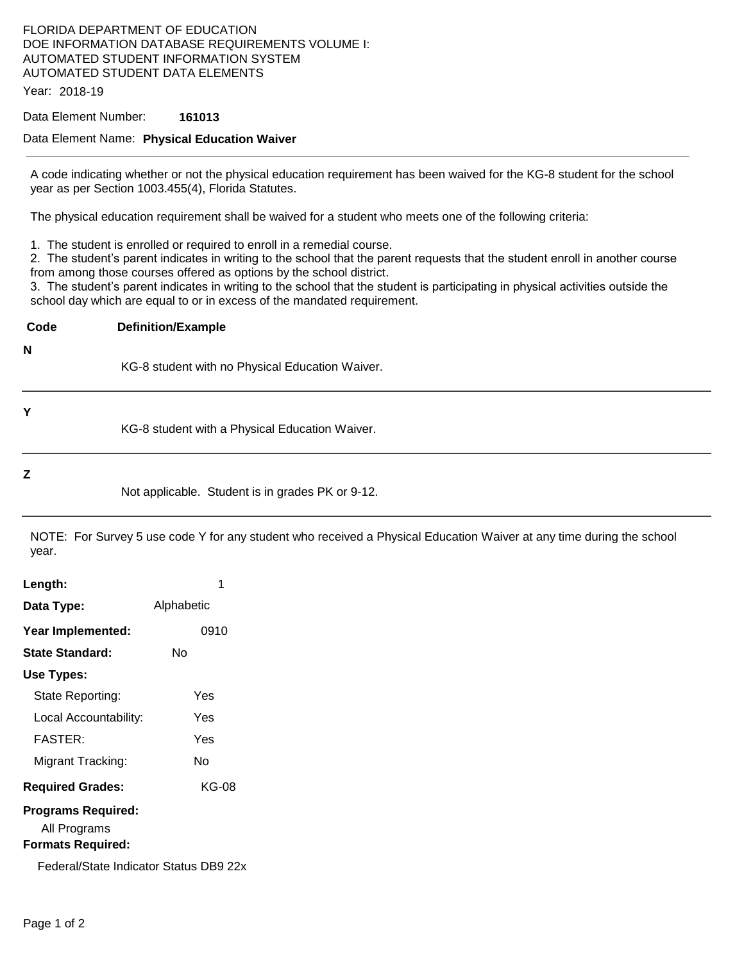## FLORIDA DEPARTMENT OF EDUCATION DOE INFORMATION DATABASE REQUIREMENTS VOLUME I: AUTOMATED STUDENT INFORMATION SYSTEM AUTOMATED STUDENT DATA ELEMENTS

Year: 2018-19

#### Data Element Number: **161013**

#### Data Element Name: **Physical Education Waiver**

A code indicating whether or not the physical education requirement has been waived for the KG-8 student for the school year as per Section 1003.455(4), Florida Statutes.

The physical education requirement shall be waived for a student who meets one of the following criteria:

1. The student is enrolled or required to enroll in a remedial course.

2. The student's parent indicates in writing to the school that the parent requests that the student enroll in another course from among those courses offered as options by the school district.

3. The student's parent indicates in writing to the school that the student is participating in physical activities outside the school day which are equal to or in excess of the mandated requirement.

**Code Definition/Example N** KG-8 student with no Physical Education Waiver. **Y** KG-8 student with a Physical Education Waiver.

#### **Z**

Not applicable. Student is in grades PK or 9-12.

NOTE: For Survey 5 use code Y for any student who received a Physical Education Waiver at any time during the school year.

| Length:                                                        |            |
|----------------------------------------------------------------|------------|
| Data Type:                                                     | Alphabetic |
| Year Implemented:                                              | 0910       |
| State Standard:                                                | N٥         |
| Use Types:                                                     |            |
| State Reporting:                                               | Yes        |
| Local Accountability:                                          | Yes        |
| <b>FASTER:</b>                                                 | Yes        |
| Migrant Tracking:                                              | N٥         |
| <b>Required Grades:</b>                                        | KG-08      |
| Programs Required:<br>All Programs<br><b>Formats Required:</b> |            |
| Federal/State Indicator Status DB9 22x                         |            |